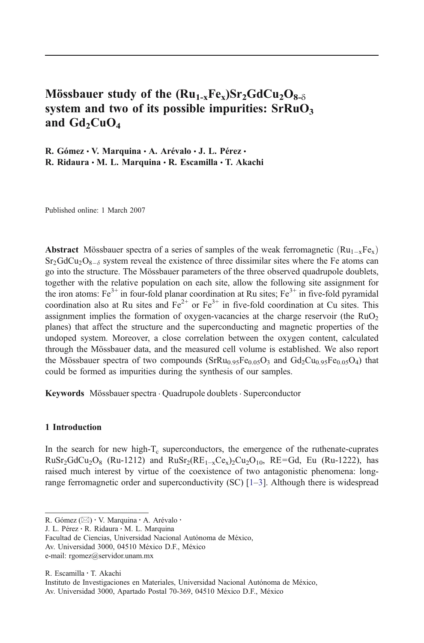# Mössbauer study of the  $(Ru_{1-x}Fe_{x})Sr_{2}GdCu_{2}O_{8-8}$ system and two of its possible impurities:  $SFRuO<sub>3</sub>$ and  $Gd_2CuO_4$

R. Gómez · V. Marquina · A. Arévalo · J. L. Pérez · R. Ridaura  $\cdot$  M. L. Marquina  $\cdot$  R. Escamilla  $\cdot$  T. Akachi

Published online: 1 March 2007

Abstract Mössbauer spectra of a series of samples of the weak ferromagnetic  $(Ru_{1-x}Fe_{x})$  $Sr<sub>2</sub>GdCu<sub>2</sub>O<sub>8-\delta</sub>$  system reveal the existence of three dissimilar sites where the Fe atoms can go into the structure. The Mössbauer parameters of the three observed quadrupole doublets, together with the relative population on each site, allow the following site assignment for the iron atoms:  $Fe^{3+}$  in four-fold planar coordination at Ru sites;  $Fe^{3+}$  in five-fold pyramidal coordination also at Ru sites and  $Fe^{2+}$  or  $Fe^{3+}$  in five-fold coordination at Cu sites. This assignment implies the formation of oxygen-vacancies at the charge reservoir (the  $RuO<sub>2</sub>$ ) planes) that affect the structure and the superconducting and magnetic properties of the undoped system. Moreover, a close correlation between the oxygen content, calculated through the Mössbauer data, and the measured cell volume is established. We also report the Mössbauer spectra of two compounds  $(SrRu_{0.95}Fe_{0.05}O_3$  and  $Gd_2Cu_{0.95}Fe_{0.05}O_4)$  that could be formed as impurities during the synthesis of our samples.

Keywords Mössbauer spectra . Quadrupole doublets . Superconductor

## 1 Introduction

In the search for new high- $T_c$  superconductors, the emergence of the ruthenate-cuprates  $RuSr<sub>2</sub>GdCu<sub>2</sub>O<sub>8</sub>$  (Ru-1212) and  $RuSr<sub>2</sub>(RE<sub>1-x</sub>Ce<sub>x</sub>)<sub>2</sub>Cu<sub>2</sub>O<sub>10</sub>$ , RE=Gd, Eu (Ru-1222), has raised much interest by virtue of the coexistence of two antagonistic phenomena: longrange ferromagnetic order and superconductivity (SC) [1–3]. Although there is widespread

J. L. Pérez : R. Ridaura : M. L. Marquina

R. Escamilla : T. Akachi

R. Gómez ( $\boxtimes$ ) · V. Marquina · A. Arévalo ·

Facultad de Ciencias, Universidad Nacional Autónoma de México,

Av. Universidad 3000, 04510 México D.F., México

e-mail: rgomez@servidor.unam.mx

Instituto de Investigaciones en Materiales, Universidad Nacional Autónoma de México,

Av. Universidad 3000, Apartado Postal 70-369, 04510 México D.F., México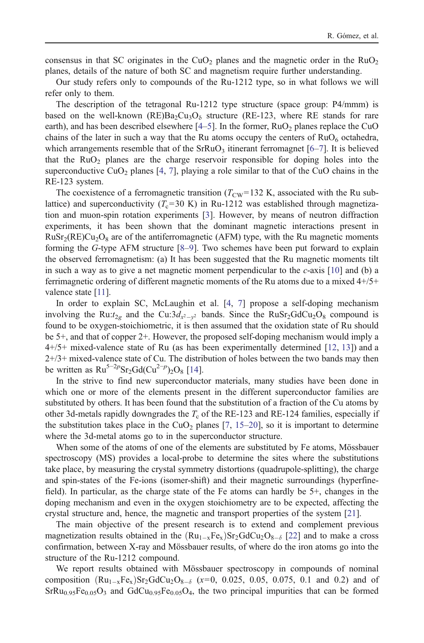consensus in that SC originates in the CuO<sub>2</sub> planes and the magnetic order in the RuO<sub>2</sub> planes, details of the nature of both SC and magnetism require further understanding.

Our study refers only to compounds of the Ru-1212 type, so in what follows we will refer only to them.

The description of the tetragonal Ru-1212 type structure (space group: P4/mmm) is based on the well-known (RE)Ba<sub>2</sub>Cu<sub>3</sub>O<sub>δ</sub> structure (RE-123, where RE stands for rare earth), and has been described elsewhere  $[4–5]$ . In the former, RuO<sub>2</sub> planes replace the CuO chains of the later in such a way that the Ru atoms occupy the centers of  $RuO<sub>6</sub>$  octahedra, which arrangements resemble that of the  $SFRuO<sub>3</sub>$  itinerant ferromagnet [6–7]. It is believed that the  $RuO<sub>2</sub>$  planes are the charge reservoir responsible for doping holes into the superconductive CuO<sub>2</sub> planes [4, 7], playing a role similar to that of the CuO chains in the RE-123 system.

The coexistence of a ferromagnetic transition ( $T_{\text{CW}}$ =132 K, associated with the Ru sublattice) and superconductivity  $(T_c=30 \text{ K})$  in Ru-1212 was established through magnetization and muon-spin rotation experiments [3]. However, by means of neutron diffraction experiments, it has been shown that the dominant magnetic interactions present in  $RuSr<sub>2</sub>(RE)Cu<sub>2</sub>O<sub>8</sub>$  are of the antiferromagnetic (AFM) type, with the Ru magnetic moments forming the G-type AFM structure [8–9]. Two schemes have been put forward to explain the observed ferromagnetism: (a) It has been suggested that the Ru magnetic moments tilt in such a way as to give a net magnetic moment perpendicular to the  $c$ -axis  $[10]$  and (b) a ferrimagnetic ordering of different magnetic moments of the Ru atoms due to a mixed 4+/5+ valence state [11].

In order to explain SC, McLaughin et al. [4, 7] propose a self-doping mechanism involving the Ru: $t_{2g}$  and the Cu: $3d_{x^2-y^2}$  bands. Since the RuSr<sub>2</sub>GdCu<sub>2</sub>O<sub>8</sub> compound is found to be oxygen-stoichiometric, it is then assumed that the oxidation state of Ru should be 5+, and that of copper 2+. However, the proposed self-doping mechanism would imply a 4+/5+ mixed-valence state of Ru (as has been experimentally determined [12, 13]) and a  $2+/3+$  mixed-valence state of Cu. The distribution of holes between the two bands may then be written as  $Ru^{5-2p}Sr_2Gd(Cu^{2-p})_2O_8$  [14].

In the strive to find new superconductor materials, many studies have been done in which one or more of the elements present in the different superconductor families are substituted by others. It has been found that the substitution of a fraction of the Cu atoms by other 3d-metals rapidly downgrades the  $T_c$  of the RE-123 and RE-124 families, especially if the substitution takes place in the  $CuO<sub>2</sub>$  planes [7, 15–20], so it is important to determine where the 3d-metal atoms go to in the superconductor structure.

When some of the atoms of one of the elements are substituted by Fe atoms, Mössbauer spectroscopy (MS) provides a local-probe to determine the sites where the substitutions take place, by measuring the crystal symmetry distortions (quadrupole-splitting), the charge and spin-states of the Fe-ions (isomer-shift) and their magnetic surroundings (hyperfinefield). In particular, as the charge state of the Fe atoms can hardly be 5+, changes in the doping mechanism and even in the oxygen stoichiometry are to be expected, affecting the crystal structure and, hence, the magnetic and transport properties of the system [21].

The main objective of the present research is to extend and complement previous magnetization results obtained in the  $(Ru_{1-x}Fe_x)Sr_2GdCu_2O_{8-\delta}$  [22] and to make a cross confirmation, between X-ray and Mössbauer results, of where do the iron atoms go into the structure of the Ru-1212 compound.

We report results obtained with Mössbauer spectroscopy in compounds of nominal composition  $(Ru_{1-x}Fe_x)Sr_2GdCu_2O_{8-\delta}$  (x=0, 0.025, 0.05, 0.075, 0.1 and 0.2) and of  $SrRu_{0.95}Fe_{0.05}O_3$  and  $GdCu_{0.95}Fe_{0.05}O_4$ , the two principal impurities that can be formed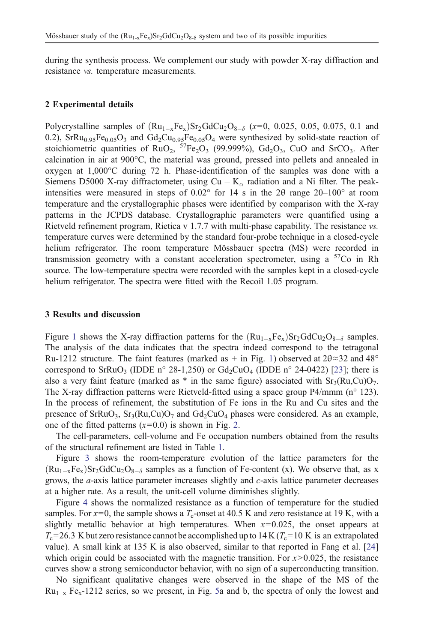during the synthesis process. We complement our study with powder X-ray diffraction and resistance vs. temperature measurements.

#### 2 Experimental details

Polycrystalline samples of  $(Ru_{1-x}Fe_x)Sr_2GdCu_2O_{8-\delta}$  ( $x=0$ , 0.025, 0.05, 0.075, 0.1 and 0.2), SrRu<sub>0.95</sub>Fe<sub>0.05</sub>O<sub>3</sub> and Gd<sub>2</sub>Cu<sub>0.95</sub>Fe<sub>0.05</sub>O<sub>4</sub> were synthesized by solid-state reaction of stoichiometric quantities of  $RuO_2$ ,  ${}^{57}Fe_2O_3$  (99.999%),  $Gd_2O_3$ , CuO and SrCO<sub>3</sub>. After calcination in air at 900°C, the material was ground, pressed into pellets and annealed in oxygen at 1,000°C during 72 h. Phase-identification of the samples was done with a Siemens D5000 X-ray diffractometer, using  $Cu - K_\alpha$  radiation and a Ni filter. The peakintensities were measured in steps of 0.02° for 14 s in the 2θ range 20–100° at room temperature and the crystallographic phases were identified by comparison with the X-ray patterns in the JCPDS database. Crystallographic parameters were quantified using a Rietveld refinement program, Rietica v 1.7.7 with multi-phase capability. The resistance vs. temperature curves were determined by the standard four-probe technique in a closed-cycle helium refrigerator. The room temperature Mössbauer spectra (MS) were recorded in transmission geometry with a constant acceleration spectrometer, using a  $57Co$  in Rh source. The low-temperature spectra were recorded with the samples kept in a closed-cycle helium refrigerator. The spectra were fitted with the Recoil 1.05 program.

#### 3 Results and discussion

Figure 1 shows the X-ray diffraction patterns for the  $(Ru_{1-x}Fe_{x})Sr_{2}GdCu_{2}O_{8-\delta}$  samples. The analysis of the data indicates that the spectra indeed correspond to the tetragonal Ru-1212 structure. The faint features (marked as + in Fig. 1) observed at  $2\theta \approx 32$  and  $48^{\circ}$ correspond to SrRuO<sub>3</sub> (IDDE n° 28-1,250) or  $Gd_2CuO_4$  (IDDE n° 24-0422) [23]; there is also a very faint feature (marked as  $*$  in the same figure) associated with  $Sr_3(Ru,Cu)O_7$ . The X-ray diffraction patterns were Rietveld-fitted using a space group P4/mmm (n° 123). In the process of refinement, the substitution of Fe ions in the Ru and Cu sites and the presence of SrRuO<sub>3</sub>, Sr<sub>3</sub>(Ru,Cu)O<sub>7</sub> and Gd<sub>2</sub>CuO<sub>4</sub> phases were considered. As an example, one of the fitted patterns  $(x=0.0)$  is shown in Fig. 2.

The cell-parameters, cell-volume and Fe occupation numbers obtained from the results of the structural refinement are listed in Table 1.

Figure 3 shows the room-temperature evolution of the lattice parameters for the  $(Ru_{1-x}Fe_x)Sr_2GdCu_2O_{8-\delta}$  samples as a function of Fe-content (x). We observe that, as x grows, the a-axis lattice parameter increases slightly and c-axis lattice parameter decreases at a higher rate. As a result, the unit-cell volume diminishes slightly.

Figure 4 shows the normalized resistance as a function of temperature for the studied samples. For  $x=0$ , the sample shows a  $T_c$ -onset at 40.5 K and zero resistance at 19 K, with a slightly metallic behavior at high temperatures. When  $x=0.025$ , the onset appears at  $T_c$ =26.3 K but zero resistance cannot be accomplished up to 14 K ( $T_c$ =10 K is an extrapolated value). A small kink at 135 K is also observed, similar to that reported in Fang et al. [24] which origin could be associated with the magnetic transition. For  $x > 0.025$ , the resistance curves show a strong semiconductor behavior, with no sign of a superconducting transition.

No significant qualitative changes were observed in the shape of the MS of the  $Ru_{1-x}$  Fe<sub>x</sub>-1212 series, so we present, in Fig. 5a and b, the spectra of only the lowest and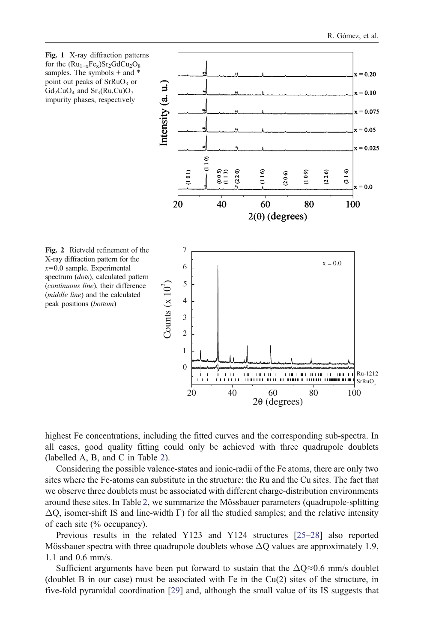

highest Fe concentrations, including the fitted curves and the corresponding sub-spectra. In all cases, good quality fitting could only be achieved with three quadrupole doublets (labelled A, B, and C in Table 2).

Considering the possible valence-states and ionic-radii of the Fe atoms, there are only two sites where the Fe-atoms can substitute in the structure: the Ru and the Cu sites. The fact that we observe three doublets must be associated with different charge-distribution environments around these sites. In Table 2, we summarize the Mössbauer parameters (quadrupole-splitting  $\Delta$ O, isomer-shift IS and line-width Γ) for all the studied samples; and the relative intensity of each site (% occupancy).

Previous results in the related Y123 and Y124 structures [25–28] also reported Mössbauer spectra with three quadrupole doublets whose  $\Delta$ O values are approximately 1.9, 1.1 and 0.6 mm/s.

Sufficient arguments have been put forward to sustain that the  $\Delta Q \approx 0.6$  mm/s doublet (doublet B in our case) must be associated with Fe in the Cu(2) sites of the structure, in five-fold pyramidal coordination [29] and, although the small value of its IS suggests that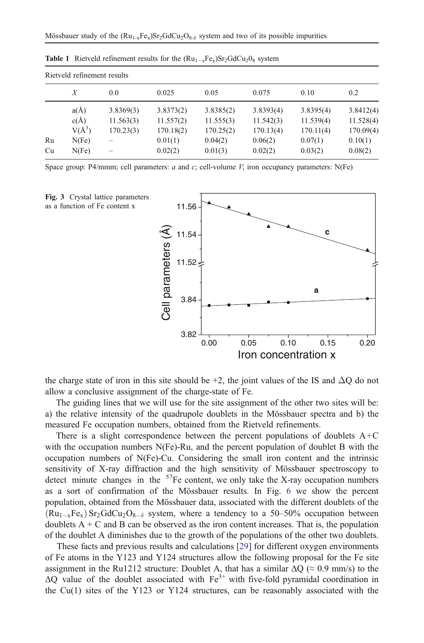| Rietveld refinement results |          |           |           |           |           |           |           |  |  |  |  |
|-----------------------------|----------|-----------|-----------|-----------|-----------|-----------|-----------|--|--|--|--|
|                             | Х        | 0.0       | 0.025     | 0.05      | 0.075     | 0.10      | 0.2       |  |  |  |  |
|                             | a(A)     | 3.8369(3) | 3.8373(2) | 3.8385(2) | 3.8393(4) | 3.8395(4) | 3.8412(4) |  |  |  |  |
|                             | c(A)     | 11.563(3) | 11.557(2) | 11.555(3) | 11.542(3) | 11.539(4) | 11.528(4) |  |  |  |  |
|                             | $V(A^3)$ | 170.23(3) | 170.18(2) | 170.25(2) | 170.13(4) | 170.11(4) | 170.09(4) |  |  |  |  |
| Ru                          | N(Fe)    |           | 0.01(1)   | 0.04(2)   | 0.06(2)   | 0.07(1)   | 0.10(1)   |  |  |  |  |
| Cu                          | N(Fe)    | -         | 0.02(2)   | 0.01(3)   | 0.02(2)   | 0.03(2)   | 0.08(2)   |  |  |  |  |

**Table 1** Rietveld refinement results for the  $(Ru_{1-x}Fe_{x})Sr_{2}GdCu_{2}O_{8}$  system

Space group: P4/mmm; cell parameters:  $a$  and  $c$ ; cell-volume  $V$ ; iron occupancy parameters: N(Fe)



the charge state of iron in this site should be  $+2$ , the joint values of the IS and  $\Delta$ O do not allow a conclusive assignment of the charge-state of Fe.

The guiding lines that we will use for the site assignment of the other two sites will be: a) the relative intensity of the quadrupole doublets in the Mössbauer spectra and b) the measured Fe occupation numbers, obtained from the Rietveld refinements.

There is a slight correspondence between the percent populations of doublets  $A+C$ with the occupation numbers N(Fe)-Ru, and the percent population of doublet B with the occupation numbers of N(Fe)-Cu. Considering the small iron content and the intrinsic sensitivity of X-ray diffraction and the high sensitivity of Mössbauer spectroscopy to detect minute changes in the  $57$ Fe content, we only take the X-ray occupation numbers as a sort of confirmation of the Mössbauer results. In Fig. 6 we show the percent population, obtained from the Mössbauer data, associated with the different doublets of the  $(Ru_{1-x}Fe_x) Sr_2GdCu_2O_{8-\delta}$  system, where a tendency to a 50–50% occupation between doublets  $A + C$  and B can be observed as the iron content increases. That is, the population of the doublet A diminishes due to the growth of the populations of the other two doublets.

These facts and previous results and calculations [29] for different oxygen environments of Fe atoms in the Y123 and Y124 structures allow the following proposal for the Fe site assignment in the Ru1212 structure: Doublet A, that has a similar  $\Delta Q$  ( $\approx 0.9$  mm/s) to the  $\Delta$ O value of the doublet associated with  $Fe^{3+}$  with five-fold pyramidal coordination in the Cu(1) sites of the Y123 or Y124 structures, can be reasonably associated with the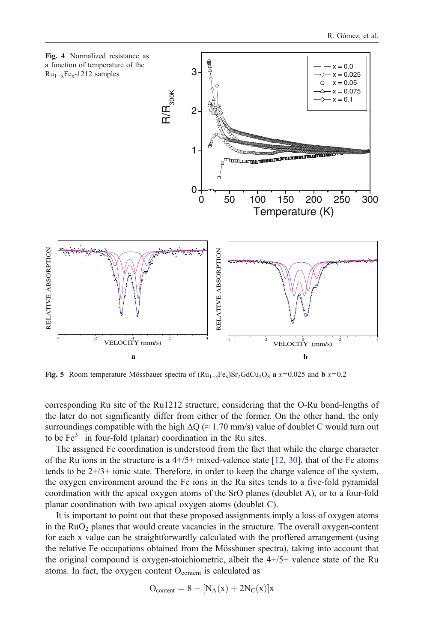

Fig. 5 Room temperature Mössbauer spectra of  $(Ru_{1-x}Fe_x)Sr_2GdCu_2O_8$  a x=0.025 and b x=0.2

corresponding Ru site of the Ru1212 structure, considering that the O-Ru bond-lengths of the later do not significantly differ from either of the former. On the other hand, the only surroundings compatible with the high  $\Delta Q \approx 1.70$  mm/s) value of doublet C would turn out to be  $Fe<sup>3+</sup>$  in four-fold (planar) coordination in the Ru sites.

The assigned Fe coordination is understood from the fact that while the charge character of the Ru ions in the structure is a  $4+/5+$  mixed-valence state [12, 30], that of the Fe atoms tends to be  $2+/3+$  ionic state. Therefore, in order to keep the charge valence of the system, the oxygen environment around the Fe ions in the Ru sites tends to a five-fold pyramidal coordination with the apical oxygen atoms of the SrO planes (doublet A), or to a four-fold planar coordination with two apical oxygen atoms (doublet C).

It is important to point out that these proposed assignments imply a loss of oxygen atoms in the  $RuO<sub>2</sub>$  planes that would create vacancies in the structure. The overall oxygen-content for each x value can be straightforwardly calculated with the proffered arrangement (using the relative Fe occupations obtained from the Mössbauer spectra), taking into account that the original compound is oxygen-stoichiometric, albeit the 4+/5+ valence state of the Ru atoms. In fact, the oxygen content  $O<sub>content</sub>$  is calculated as

$$
O_{\text{content}} = 8 - [N_A(x) + 2N_C(x)]x
$$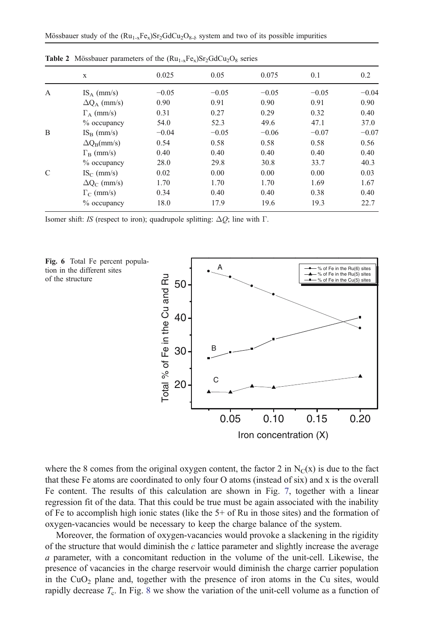|               | X                       | 0.025   | 0.05    | 0.075   | 0.1     | 0.2     |  |  |
|---------------|-------------------------|---------|---------|---------|---------|---------|--|--|
| A             | $IS_A$ (mm/s)           | $-0.05$ | $-0.05$ | $-0.05$ | $-0.05$ | $-0.04$ |  |  |
|               | $\Delta Q_A$ (mm/s)     | 0.90    | 0.91    | 0.90    | 0.91    | 0.90    |  |  |
|               | $\Gamma_A$ (mm/s)       | 0.31    | 0.27    | 0.29    | 0.32    | 0.40    |  |  |
|               | $%$ occupancy           | 54.0    | 52.3    | 49.6    | 47.1    | 37.0    |  |  |
| B             | $IS_{B}$ (mm/s)         | $-0.04$ | $-0.05$ | $-0.06$ | $-0.07$ | $-0.07$ |  |  |
|               | $\Delta Q_B$ (mm/s)     | 0.54    | 0.58    | 0.58    | 0.58    | 0.56    |  |  |
|               | $\Gamma_{\rm B}$ (mm/s) | 0.40    | 0.40    | 0.40    | 0.40    | 0.40    |  |  |
|               | $%$ occupancy           | 28.0    | 29.8    | 30.8    | 33.7    | 40.3    |  |  |
| $\mathcal{C}$ | $IS_C$ (mm/s)           | 0.02    | 0.00    | 0.00    | 0.00    | 0.03    |  |  |
|               | $\Delta Q_C$ (mm/s)     | 1.70    | 1.70    | 1.70    | 1.69    | 1.67    |  |  |
|               | $\Gamma_C$ (mm/s)       | 0.34    | 0.40    | 0.40    | 0.38    | 0.40    |  |  |
|               | $%$ occupancy           | 18.0    | 17.9    | 19.6    | 19.3    | 22.7    |  |  |
|               |                         |         |         |         |         |         |  |  |

**Table 2** Mössbauer parameters of the  $(Ru_{1-x}Fe_{y})Sr_2GdCu_2O_8$  series

Isomer shift: IS (respect to iron); quadrupole splitting:  $\Delta Q$ ; line with Γ.





where the 8 comes from the original oxygen content, the factor 2 in  $N_C(x)$  is due to the fact that these Fe atoms are coordinated to only four O atoms (instead of six) and x is the overall Fe content. The results of this calculation are shown in Fig. 7, together with a linear regression fit of the data. That this could be true must be again associated with the inability of Fe to accomplish high ionic states (like the 5+ of Ru in those sites) and the formation of oxygen-vacancies would be necessary to keep the charge balance of the system.

Moreover, the formation of oxygen-vacancies would provoke a slackening in the rigidity of the structure that would diminish the c lattice parameter and slightly increase the average a parameter, with a concomitant reduction in the volume of the unit-cell. Likewise, the presence of vacancies in the charge reservoir would diminish the charge carrier population in the  $CuO<sub>2</sub>$  plane and, together with the presence of iron atoms in the Cu sites, would rapidly decrease  $T_c$ . In Fig. 8 we show the variation of the unit-cell volume as a function of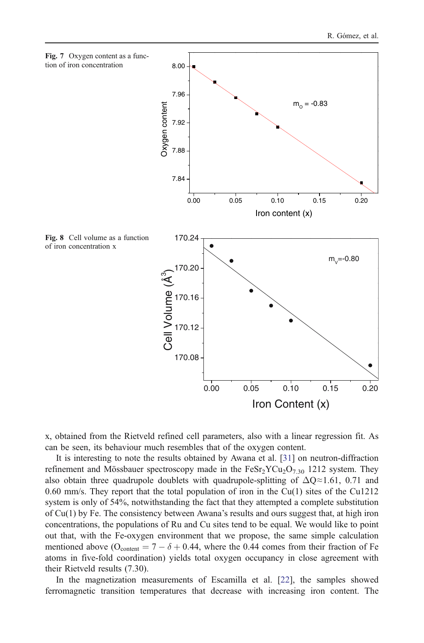

x, obtained from the Rietveld refined cell parameters, also with a linear regression fit. As can be seen, its behaviour much resembles that of the oxygen content.

It is interesting to note the results obtained by Awana et al. [31] on neutron-diffraction refinement and Mössbauer spectroscopy made in the  $F \in \text{S}r_2\text{Y}Cu_2\text{O}_{7,30}$  1212 system. They also obtain three quadrupole doublets with quadrupole-splitting of  $\Delta Q \approx 1.61$ , 0.71 and 0.60 mm/s. They report that the total population of iron in the  $Cu(1)$  sites of the  $Cu1212$ system is only of 54%, notwithstanding the fact that they attempted a complete substitution of Cu(1) by Fe. The consistency between Awana's results and ours suggest that, at high iron concentrations, the populations of Ru and Cu sites tend to be equal. We would like to point out that, with the Fe-oxygen environment that we propose, the same simple calculation mentioned above ( $O_{\text{content}} = 7 - \delta + 0.44$ , where the 0.44 comes from their fraction of Fe atoms in five-fold coordination) yields total oxygen occupancy in close agreement with their Rietveld results (7.30).

In the magnetization measurements of Escamilla et al. [22], the samples showed ferromagnetic transition temperatures that decrease with increasing iron content. The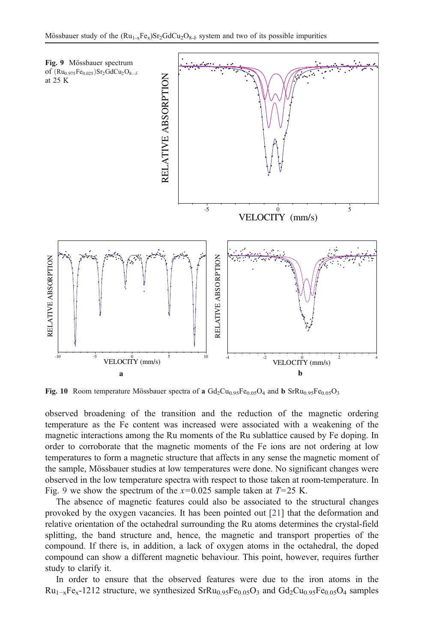

Fig. 10 Room temperature Mössbauer spectra of a  $Gd_2Cu_{0.95}Fe_{0.05}O_4$  and b SrRu<sub>0.95</sub>Fe<sub>0.05</sub>O<sub>3</sub>

observed broadening of the transition and the reduction of the magnetic ordering temperature as the Fe content was increased were associated with a weakening of the magnetic interactions among the Ru moments of the Ru sublattice caused by Fe doping. In order to corroborate that the magnetic moments of the Fe ions are not ordering at low temperatures to form a magnetic structure that affects in any sense the magnetic moment of the sample, Mössbauer studies at low temperatures were done. No significant changes were observed in the low temperature spectra with respect to those taken at room-temperature. In Fig. 9 we show the spectrum of the  $x=0.025$  sample taken at  $T=25$  K.

The absence of magnetic features could also be associated to the structural changes provoked by the oxygen vacancies. It has been pointed out [21] that the deformation and relative orientation of the octahedral surrounding the Ru atoms determines the crystal-field splitting, the band structure and, hence, the magnetic and transport properties of the compound. If there is, in addition, a lack of oxygen atoms in the octahedral, the doped compound can show a different magnetic behaviour. This point, however, requires further study to clarify it.

In order to ensure that the observed features were due to the iron atoms in the  $Ru_{1-x}Fe_{x}-1212$  structure, we synthesized SrRu<sub>0.95</sub>Fe<sub>0.05</sub>O<sub>3</sub> and Gd<sub>2</sub>Cu<sub>0.95</sub>Fe<sub>0.05</sub>O<sub>4</sub> samples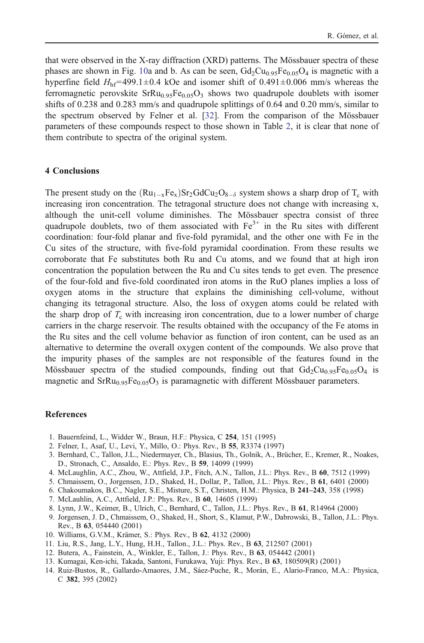that were observed in the X-ray diffraction (XRD) patterns. The Mössbauer spectra of these phases are shown in Fig. 10a and b. As can be seen,  $Gd_2Cu_{0.95}Fe_{0.05}O_4$  is magnetic with a hyperfine field  $H<sub>hf</sub>=499.1±0.4$  kOe and isomer shift of 0.491±0.006 mm/s whereas the ferromagnetic perovskite  $SFRu<sub>0.95</sub>Pe<sub>0.05</sub>O<sub>3</sub>$  shows two quadrupole doublets with isomer shifts of 0.238 and 0.283 mm/s and quadrupole splittings of 0.64 and 0.20 mm/s, similar to the spectrum observed by Felner et al. [32]. From the comparison of the Mössbauer parameters of these compounds respect to those shown in Table 2, it is clear that none of them contribute to spectra of the original system.

#### 4 Conclusions

The present study on the  $(Ru_{1-x}Fe_x)Sr_2GdCu_2O_{8-\delta}$  system shows a sharp drop of T<sub>c</sub> with increasing iron concentration. The tetragonal structure does not change with increasing x, although the unit-cell volume diminishes. The Mössbauer spectra consist of three quadrupole doublets, two of them associated with  $Fe<sup>3+</sup>$  in the Ru sites with different coordination: four-fold planar and five-fold pyramidal, and the other one with Fe in the Cu sites of the structure, with five-fold pyramidal coordination. From these results we corroborate that Fe substitutes both Ru and Cu atoms, and we found that at high iron concentration the population between the Ru and Cu sites tends to get even. The presence of the four-fold and five-fold coordinated iron atoms in the RuO planes implies a loss of oxygen atoms in the structure that explains the diminishing cell-volume, without changing its tetragonal structure. Also, the loss of oxygen atoms could be related with the sharp drop of  $T_c$  with increasing iron concentration, due to a lower number of charge carriers in the charge reservoir. The results obtained with the occupancy of the Fe atoms in the Ru sites and the cell volume behavior as function of iron content, can be used as an alternative to determine the overall oxygen content of the compounds. We also prove that the impurity phases of the samples are not responsible of the features found in the Mössbauer spectra of the studied compounds, finding out that  $Gd_2Cu_{0.95}Fe_{0.05}O_4$  is magnetic and  $SFRu<sub>0.95</sub>Fe<sub>0.05</sub>O<sub>3</sub>$  is paramagnetic with different Mössbauer parameters.

### **References**

- 1. Bauernfeind, L., Widder W., Braun, H.F.: Physica, C 254, 151 (1995)
- 2. Felner, I., Asaf, U., Levi, Y., Millo, O.: Phys. Rev., B 55, R3374 (1997)
- 3. Bernhard, C., Tallon, J.L., Niedermayer, Ch., Blasius, Th., Golnik, A., Brücher, E., Kremer, R., Noakes, D., Stronach, C., Ansaldo, E.: Phys. Rev., B 59, 14099 (1999)
- 4. McLaughlin, A.C., Zhou, W., Attfield, J.P., Fitch, A.N., Tallon, J.L.: Phys. Rev., B 60, 7512 (1999)
- 5. Chmaissem, O., Jorgensen, J.D., Shaked, H., Dollar, P., Tallon, J.L.: Phys. Rev., B 61, 6401 (2000)
- 6. Chakoumakos, B.C., Nagler, S.E., Misture, S.T., Christen, H.M.: Physica, B 241–243, 358 (1998)
- 7. McLauhlin, A.C., Attfield, J.P.: Phys. Rev., B 60, 14605 (1999)
- 8. Lynn, J.W., Keimer, B., Ulrich, C., Bernhard, C., Tallon, J.L.: Phys. Rev., B 61, R14964 (2000)
- 9. Jorgensen, J. D., Chmaissem, O., Shaked, H., Short, S., Klamut, P.W., Dabrowski, B., Tallon, J.L.: Phys. Rev., B 63, 054440 (2001)
- 10. Williams, G.V.M., Krämer, S.: Phys. Rev., B 62, 4132 (2000)
- 11. Liu, R.S., Jang, L.Y., Hung, H.H., Tallon., J.L.: Phys. Rev., B 63, 212507 (2001)
- 12. Butera, A., Fainstein, A., Winkler, E., Tallon, J.: Phys. Rev., B 63, 054442 (2001)
- 13. Kumagai, Ken-ichi, Takada, Santoni, Furukawa, Yuji: Phys. Rev., B 63, 180509(R) (2001)
- 14. Ruiz-Bustos, R., Gallardo-Amaores, J.M., Sáez-Puche, R., Morán, E., Alario-Franco, M.A.: Physica, C 382, 395 (2002)